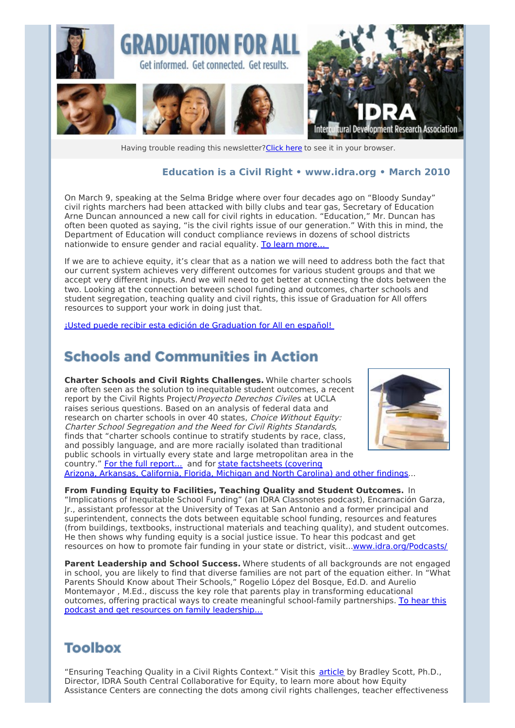

Having trouble reading this newsletter? Click here to see it in your browser.

#### **Education is a Civil Right • [www.idra.org](http://idra.createsend1.com/t/1/l/ohhkkd/l/www.idra.org) • March 2010**

On March 9, speaking at the Selma Bridge where over four decades ago on "Bloody Sunday" civil rights marchers had been attacked with billy clubs and tear gas, Secretary of Education Arne Duncan announced a new call for civil rights in education. "Education," Mr. Duncan has often been quoted as saying, "is the civil rights issue of our generation." With this in mind, the Department of Education will conduct compliance reviews in dozens of school districts nationwide to ensure gender and racial equality. To learn [more…](http://idra.createsend1.com/t/r/l/ohhkkd/l/r)

If we are to achieve equity, it's clear that as a nation we will need to address both the fact that our current system achieves very different outcomes for various student groups and that we accept very different inputs. And we will need to get better at connecting the dots between the two. Looking at the connection between school funding and outcomes, charter schools and student segregation, teaching quality and civil rights, this issue of Graduation for All offers resources to support your work in doing just that.

¡Usted puede recibir esta edición de [Graduation](http://idra.createsend1.com/t/r/l/ohhkkd/l/y) for All en español!

### **Schools and Communities in Action**

**Charter Schools and Civil Rights Challenges.** While charter schools are often seen as the solution to inequitable student outcomes, a recent report by the Civil Rights Project/Proyecto Derechos Civiles at UCLA raises serious questions. Based on an analysis of federal data and research on charter schools in over 40 states, Choice Without Equity: Charter School Segregation and the Need for Civil Rights Standards, finds that "charter schools continue to stratify students by race, class, and possibly language, and are more racially isolated than traditional public schools in virtually every state and large metropolitan area in the country." For the full [report...](http://idra.createsend1.com/t/r/l/ohhkkd/l/j) and for state [factsheets](http://idra.createsend1.com/t/r/l/ohhkkd/l/t) (covering Arizona, Arkansas, California, Florida, Michigan and North Carolina) and other findings...



**From Funding Equity to Facilities, Teaching Quality and Student Outcomes.** In "Implications of Inequitable School Funding" (an IDRA Classnotes podcast), Encarnación Garza, Jr., assistant professor at the University of Texas at San Antonio and a former principal and superintendent, connects the dots between equitable school funding, resources and features (from buildings, textbooks, instructional materials and teaching quality), and student outcomes. He then shows why funding equity is a social justice issue. To hear this podcast and get resources on how to promote fair funding in your state or district, visit..[.www.idra.org/Podcasts/](http://idra.createsend1.com/t/r/l/ohhkkd/l/i)

**Parent Leadership and School Success.** Where students of all backgrounds are not engaged in school, you are likely to find that diverse families are not part of the equation either. In "What Parents Should Know about Their Schools," Rogelio López del Bosque, Ed.D. and Aurelio Montemayor , M.Ed., discuss the key role that parents play in transforming educational outcomes, offering practical ways to create meaningful [school-family](http://idra.createsend1.com/t/r/l/ohhkkd/l/d) partnerships. To hear this podcast and get resources on family leadership…

## **Toolbox**

"Ensuring Teaching Quality in a Civil Rights Context." Visit this [article](http://idra.createsend1.com/t/r/l/ohhkkd/l/h) by Bradley Scott, Ph.D., Director, IDRA South Central Collaborative for Equity, to learn more about how Equity Assistance Centers are connecting the dots among civil rights challenges, teacher effectiveness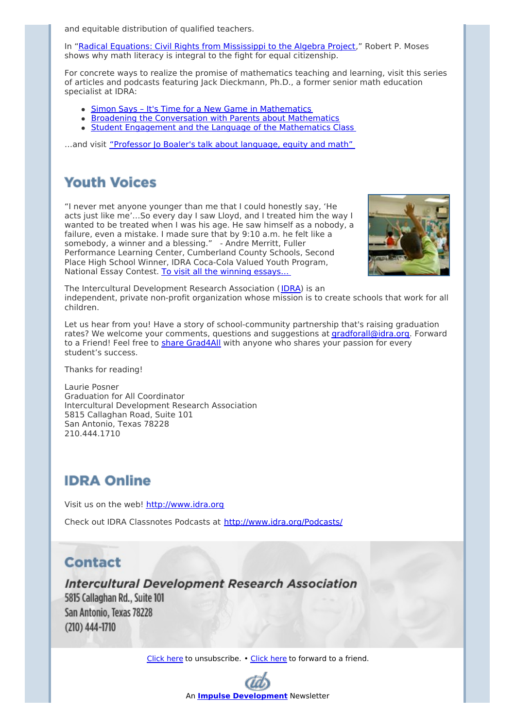and equitable distribution of qualified teachers.

In "Radical Equations: Civil Rights from [Mississippi](http://idra.createsend1.com/t/r/l/ohhkkd/l/k) to the Algebra Project," Robert P. Moses shows why math literacy is integral to the fight for equal citizenship.

For concrete ways to realize the promise of mathematics teaching and learning, visit this series of articles and podcasts featuring Jack Dieckmann, Ph.D., a former senior math education specialist at IDRA:

- Simon Says It's Time for a New Game in [Mathematics](http://idra.createsend1.com/t/r/l/ohhkkd/l/u)
- **Broadening the [Conversation](http://idra.createsend1.com/t/r/l/ohhkkd/l/o) with Parents about Mathematics**
- Student Engagement and the Language of the [Mathematics](http://idra.createsend1.com/t/r/l/ohhkkd/l/b) Class

...and visit ["Professor](http://idra.createsend1.com/t/r/l/ohhkkd/l/n) Jo Boaler's talk about language, equity and math"

## **Youth Voices**

"I never met anyone younger than me that I could honestly say, 'He acts just like me'…So every day I saw Lloyd, and I treated him the way I wanted to be treated when I was his age. He saw himself as a nobody, a failure, even a mistake. I made sure that by 9:10 a.m. he felt like a somebody, a winner and a blessing." - Andre Merritt, Fuller Performance Learning Center, Cumberland County Schools, Second Place High School Winner, IDRA Coca-Cola Valued Youth Program, National Essay Contest. To visit all the winning [essays…](http://idra.createsend1.com/t/r/l/ohhkkd/l/p)



The Intercultural Development Research Association ([IDRA](http://idra.createsend1.com/t/r/l/ohhkkd/l/x)) is an independent, private non-profit organization whose mission is to create schools that work for all children.

Let us hear from you! Have a story of school-community partnership that's raising graduation rates? We welcome your comments, questions and suggestions at [gradforall@idra.org](mailto:gradforall@idra.org?subject=RE%3A Education is a Civil Right). Forward to a Friend! Feel free to share [Grad4All](http://idra.createsend1.com/t/r/l/ohhkkd/l/m) with anyone who shares your passion for every student's success.

Thanks for reading!

Laurie Posner Graduation for All Coordinator Intercultural Development Research Association 5815 Callaghan Road, Suite 101 San Antonio, Texas 78228 210.444.1710

# **IDRA Online**

Visit us on the web! [http://www.idra.org](http://idra.createsend1.com/t/1/l/ohhkkd/l/www.idra.org)

Check out IDRA Classnotes Podcasts at [http://www.idra.org/Podcasts/](http://idra.createsend1.com/t/1/l/ohhkkd/l/www.idra.org/Podcasts/)

## **Contact**

**Intercultural Development Research Association** 

5815 Callaghan Rd., Suite 101 San Antonio, Texas 78228  $(210)$  444-1710

[Click](http://idra.createsend1.com/t/1/u/ohhkkd/l/) here to unsubscribe. • [Click](http://idra.forward-email.com/r/l-2AD73FFF-ohhkkd-l) here to forward to a friend.